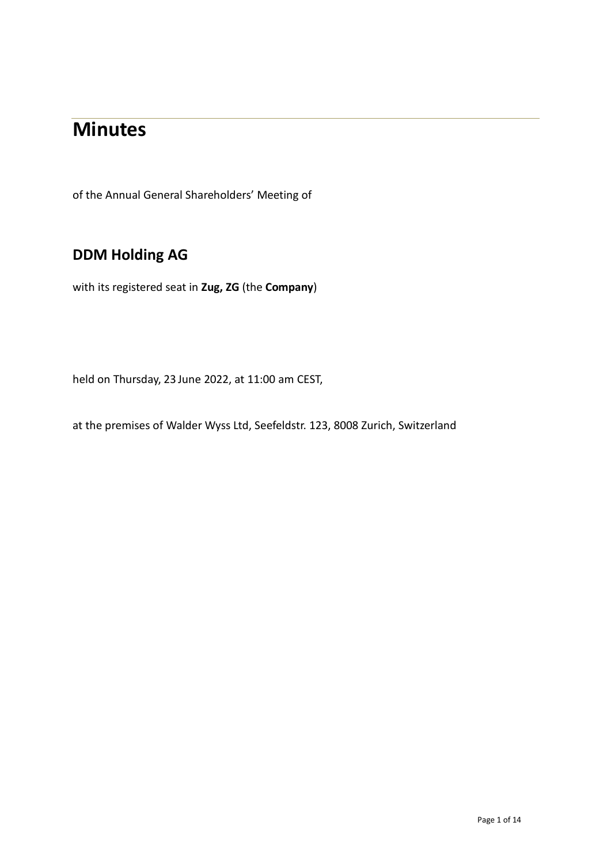# **Minutes**

of the Annual General Shareholders' Meeting of

# **DDM Holding AG**

with its registered seat in **Zug, ZG** (the **Company**)

held on Thursday, 23 June 2022, at 11:00 am CEST,

at the premises of Walder Wyss Ltd, Seefeldstr. 123, 8008 Zurich, Switzerland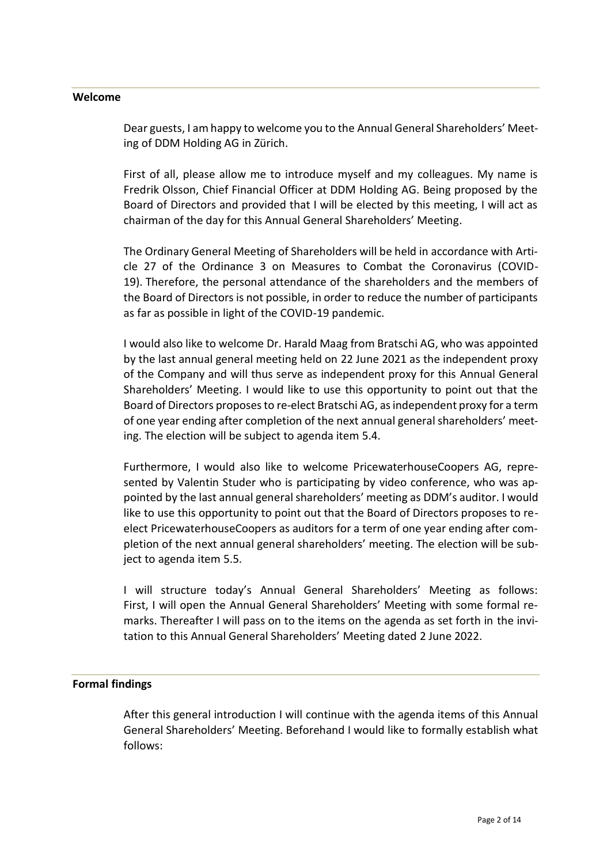#### **Welcome**

Dear guests, I am happy to welcome you to the Annual General Shareholders' Meeting of DDM Holding AG in Zürich.

First of all, please allow me to introduce myself and my colleagues. My name is Fredrik Olsson, Chief Financial Officer at DDM Holding AG. Being proposed by the Board of Directors and provided that I will be elected by this meeting, I will act as chairman of the day for this Annual General Shareholders' Meeting.

The Ordinary General Meeting of Shareholders will be held in accordance with Article 27 of the Ordinance 3 on Measures to Combat the Coronavirus (COVID-19). Therefore, the personal attendance of the shareholders and the members of the Board of Directors is not possible, in order to reduce the number of participants as far as possible in light of the COVID-19 pandemic.

I would also like to welcome Dr. Harald Maag from Bratschi AG, who was appointed by the last annual general meeting held on 22 June 2021 as the independent proxy of the Company and will thus serve as independent proxy for this Annual General Shareholders' Meeting. I would like to use this opportunity to point out that the Board of Directors proposes to re-elect Bratschi AG, as independent proxy for a term of one year ending after completion of the next annual general shareholders' meeting. The election will be subject to agenda item 5.4.

Furthermore, I would also like to welcome PricewaterhouseCoopers AG, represented by Valentin Studer who is participating by video conference, who was appointed by the last annual general shareholders' meeting as DDM's auditor. I would like to use this opportunity to point out that the Board of Directors proposes to reelect PricewaterhouseCoopers as auditors for a term of one year ending after completion of the next annual general shareholders' meeting. The election will be subject to agenda item 5.5.

I will structure today's Annual General Shareholders' Meeting as follows: First, I will open the Annual General Shareholders' Meeting with some formal remarks. Thereafter I will pass on to the items on the agenda as set forth in the invitation to this Annual General Shareholders' Meeting dated 2 June 2022.

#### **Formal findings**

After this general introduction I will continue with the agenda items of this Annual General Shareholders' Meeting. Beforehand I would like to formally establish what follows: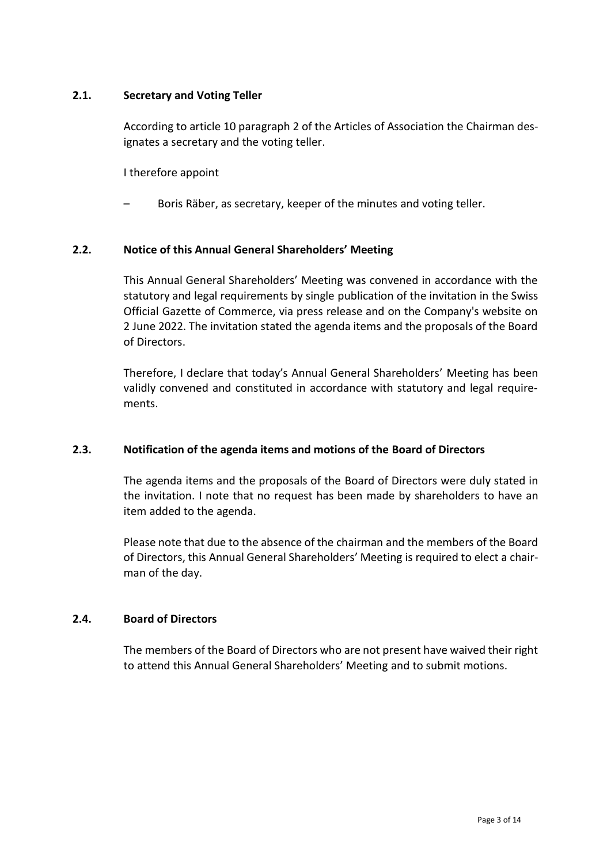#### **2.1. Secretary and Voting Teller**

According to article 10 paragraph 2 of the Articles of Association the Chairman designates a secretary and the voting teller.

I therefore appoint

– Boris Räber, as secretary, keeper of the minutes and voting teller.

#### **2.2. Notice of this Annual General Shareholders' Meeting**

This Annual General Shareholders' Meeting was convened in accordance with the statutory and legal requirements by single publication of the invitation in the Swiss Official Gazette of Commerce, via press release and on the Company's website on 2 June 2022. The invitation stated the agenda items and the proposals of the Board of Directors.

Therefore, I declare that today's Annual General Shareholders' Meeting has been validly convened and constituted in accordance with statutory and legal requirements.

#### **2.3. Notification of the agenda items and motions of the Board of Directors**

The agenda items and the proposals of the Board of Directors were duly stated in the invitation. I note that no request has been made by shareholders to have an item added to the agenda.

Please note that due to the absence of the chairman and the members of the Board of Directors, this Annual General Shareholders' Meeting is required to elect a chairman of the day.

#### **2.4. Board of Directors**

The members of the Board of Directors who are not present have waived their right to attend this Annual General Shareholders' Meeting and to submit motions.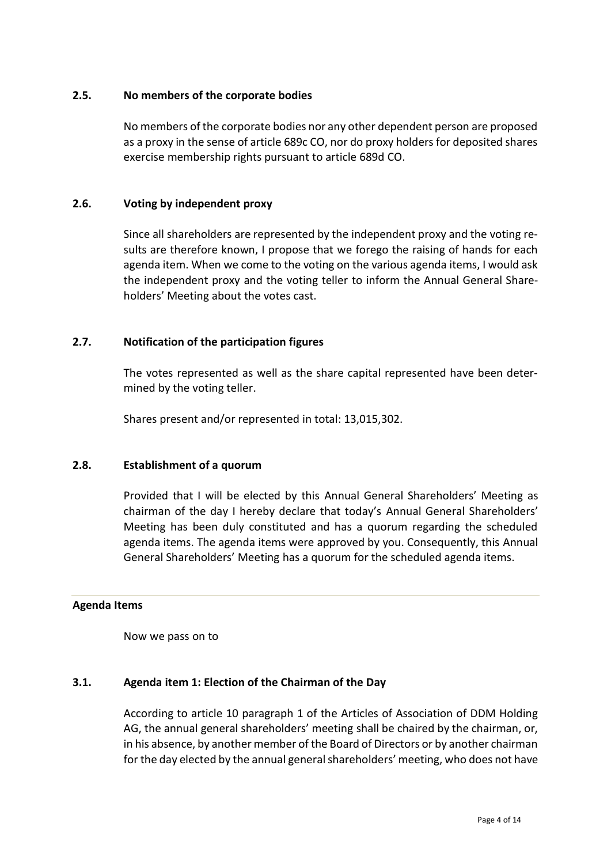#### **2.5. No members of the corporate bodies**

No members of the corporate bodies nor any other dependent person are proposed as a proxy in the sense of article 689c CO, nor do proxy holders for deposited shares exercise membership rights pursuant to article 689d CO.

#### **2.6. Voting by independent proxy**

Since all shareholders are represented by the independent proxy and the voting results are therefore known, I propose that we forego the raising of hands for each agenda item. When we come to the voting on the various agenda items, I would ask the independent proxy and the voting teller to inform the Annual General Shareholders' Meeting about the votes cast.

#### **2.7. Notification of the participation figures**

The votes represented as well as the share capital represented have been determined by the voting teller.

Shares present and/or represented in total: 13,015,302.

#### **2.8. Establishment of a quorum**

Provided that I will be elected by this Annual General Shareholders' Meeting as chairman of the day I hereby declare that today's Annual General Shareholders' Meeting has been duly constituted and has a quorum regarding the scheduled agenda items. The agenda items were approved by you. Consequently, this Annual General Shareholders' Meeting has a quorum for the scheduled agenda items.

#### **Agenda Items**

Now we pass on to

#### **3.1. Agenda item 1: Election of the Chairman of the Day**

According to article 10 paragraph 1 of the Articles of Association of DDM Holding AG, the annual general shareholders' meeting shall be chaired by the chairman, or, in his absence, by another member of the Board of Directors or by another chairman for the day elected by the annual general shareholders' meeting, who does not have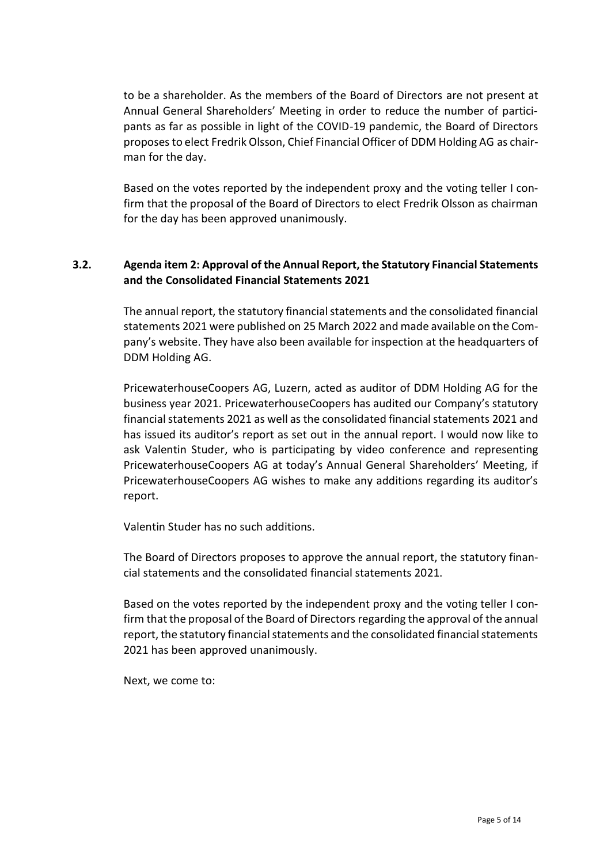to be a shareholder. As the members of the Board of Directors are not present at Annual General Shareholders' Meeting in order to reduce the number of participants as far as possible in light of the COVID-19 pandemic, the Board of Directors proposes to elect Fredrik Olsson, Chief Financial Officer of DDM Holding AG as chairman for the day.

Based on the votes reported by the independent proxy and the voting teller I confirm that the proposal of the Board of Directors to elect Fredrik Olsson as chairman for the day has been approved unanimously.

# **3.2. Agenda item 2: Approval of the Annual Report, the Statutory Financial Statements and the Consolidated Financial Statements 2021**

The annual report, the statutory financial statements and the consolidated financial statements 2021 were published on 25 March 2022 and made available on the Company's website. They have also been available for inspection at the headquarters of DDM Holding AG.

PricewaterhouseCoopers AG, Luzern, acted as auditor of DDM Holding AG for the business year 2021. PricewaterhouseCoopers has audited our Company's statutory financial statements 2021 as well as the consolidated financial statements 2021 and has issued its auditor's report as set out in the annual report. I would now like to ask Valentin Studer, who is participating by video conference and representing PricewaterhouseCoopers AG at today's Annual General Shareholders' Meeting, if PricewaterhouseCoopers AG wishes to make any additions regarding its auditor's report.

Valentin Studer has no such additions.

The Board of Directors proposes to approve the annual report, the statutory financial statements and the consolidated financial statements 2021.

Based on the votes reported by the independent proxy and the voting teller I confirm that the proposal of the Board of Directors regarding the approval of the annual report, the statutory financial statements and the consolidated financial statements 2021 has been approved unanimously.

Next, we come to: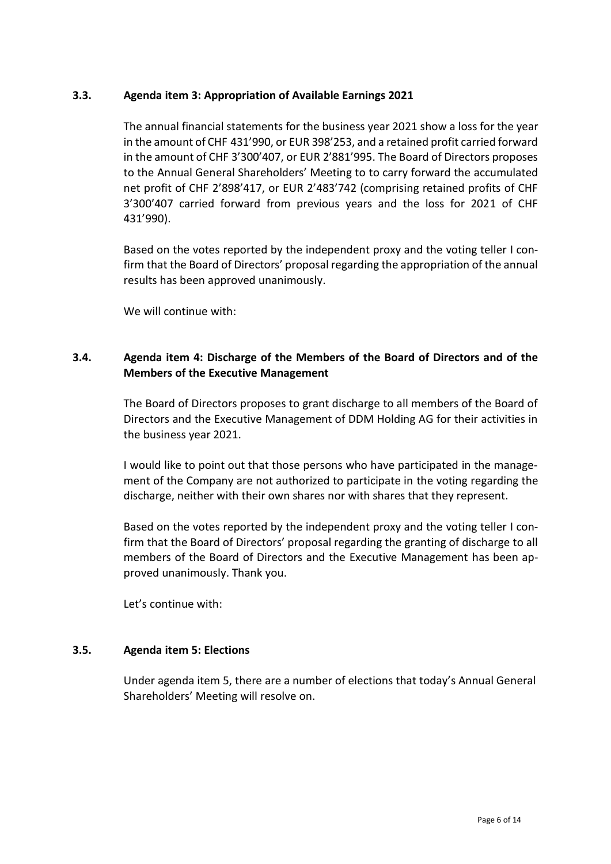#### **3.3. Agenda item 3: Appropriation of Available Earnings 2021**

The annual financial statements for the business year 2021 show a loss for the year in the amount of CHF 431'990, or EUR 398'253, and a retained profit carried forward in the amount of CHF 3'300'407, or EUR 2'881'995. The Board of Directors proposes to the Annual General Shareholders' Meeting to to carry forward the accumulated net profit of CHF 2'898'417, or EUR 2'483'742 (comprising retained profits of CHF 3'300'407 carried forward from previous years and the loss for 2021 of CHF 431'990).

Based on the votes reported by the independent proxy and the voting teller I confirm that the Board of Directors' proposal regarding the appropriation of the annual results has been approved unanimously.

We will continue with:

# **3.4. Agenda item 4: Discharge of the Members of the Board of Directors and of the Members of the Executive Management**

The Board of Directors proposes to grant discharge to all members of the Board of Directors and the Executive Management of DDM Holding AG for their activities in the business year 2021.

I would like to point out that those persons who have participated in the management of the Company are not authorized to participate in the voting regarding the discharge, neither with their own shares nor with shares that they represent.

Based on the votes reported by the independent proxy and the voting teller I confirm that the Board of Directors' proposal regarding the granting of discharge to all members of the Board of Directors and the Executive Management has been approved unanimously. Thank you.

Let's continue with:

#### **3.5. Agenda item 5: Elections**

Under agenda item 5, there are a number of elections that today's Annual General Shareholders' Meeting will resolve on.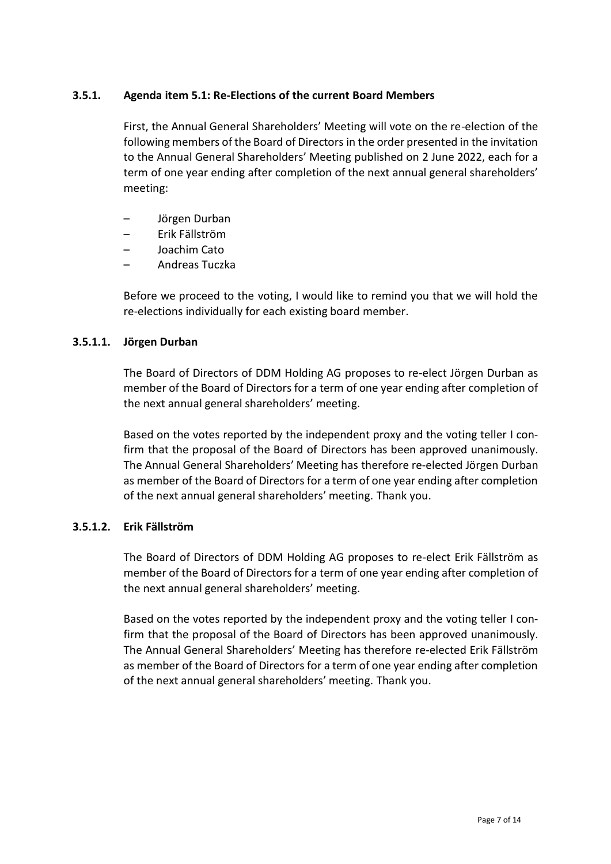#### **3.5.1. Agenda item 5.1: Re-Elections of the current Board Members**

First, the Annual General Shareholders' Meeting will vote on the re-election of the following members of the Board of Directors in the order presented in the invitation to the Annual General Shareholders' Meeting published on 2 June 2022, each for a term of one year ending after completion of the next annual general shareholders' meeting:

- Jörgen Durban
- Erik Fällström
- Joachim Cato
- Andreas Tuczka

Before we proceed to the voting, I would like to remind you that we will hold the re-elections individually for each existing board member.

#### **3.5.1.1. Jörgen Durban**

The Board of Directors of DDM Holding AG proposes to re-elect Jörgen Durban as member of the Board of Directors for a term of one year ending after completion of the next annual general shareholders' meeting.

Based on the votes reported by the independent proxy and the voting teller I confirm that the proposal of the Board of Directors has been approved unanimously. The Annual General Shareholders' Meeting has therefore re-elected Jörgen Durban as member of the Board of Directors for a term of one year ending after completion of the next annual general shareholders' meeting. Thank you.

#### **3.5.1.2. Erik Fällström**

The Board of Directors of DDM Holding AG proposes to re-elect Erik Fällström as member of the Board of Directors for a term of one year ending after completion of the next annual general shareholders' meeting.

Based on the votes reported by the independent proxy and the voting teller I confirm that the proposal of the Board of Directors has been approved unanimously. The Annual General Shareholders' Meeting has therefore re-elected Erik Fällström as member of the Board of Directors for a term of one year ending after completion of the next annual general shareholders' meeting. Thank you.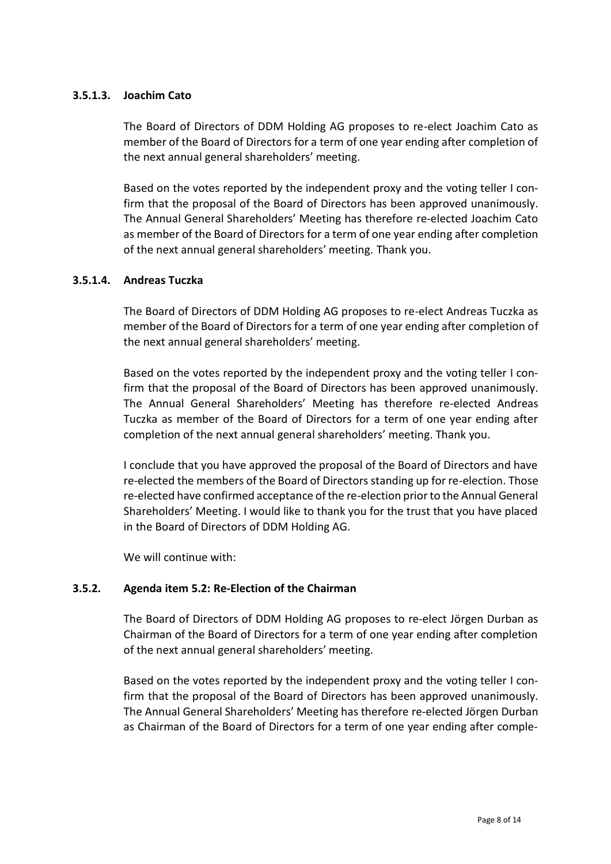#### **3.5.1.3. Joachim Cato**

The Board of Directors of DDM Holding AG proposes to re-elect Joachim Cato as member of the Board of Directors for a term of one year ending after completion of the next annual general shareholders' meeting.

Based on the votes reported by the independent proxy and the voting teller I confirm that the proposal of the Board of Directors has been approved unanimously. The Annual General Shareholders' Meeting has therefore re-elected Joachim Cato as member of the Board of Directors for a term of one year ending after completion of the next annual general shareholders' meeting. Thank you.

#### **3.5.1.4. Andreas Tuczka**

The Board of Directors of DDM Holding AG proposes to re-elect Andreas Tuczka as member of the Board of Directors for a term of one year ending after completion of the next annual general shareholders' meeting.

Based on the votes reported by the independent proxy and the voting teller I confirm that the proposal of the Board of Directors has been approved unanimously. The Annual General Shareholders' Meeting has therefore re-elected Andreas Tuczka as member of the Board of Directors for a term of one year ending after completion of the next annual general shareholders' meeting. Thank you.

I conclude that you have approved the proposal of the Board of Directors and have re-elected the members of the Board of Directors standing up for re-election. Those re-elected have confirmed acceptance of the re-election prior to the Annual General Shareholders' Meeting. I would like to thank you for the trust that you have placed in the Board of Directors of DDM Holding AG.

We will continue with:

#### **3.5.2. Agenda item 5.2: Re-Election of the Chairman**

The Board of Directors of DDM Holding AG proposes to re-elect Jörgen Durban as Chairman of the Board of Directors for a term of one year ending after completion of the next annual general shareholders' meeting.

Based on the votes reported by the independent proxy and the voting teller I confirm that the proposal of the Board of Directors has been approved unanimously. The Annual General Shareholders' Meeting has therefore re-elected Jörgen Durban as Chairman of the Board of Directors for a term of one year ending after comple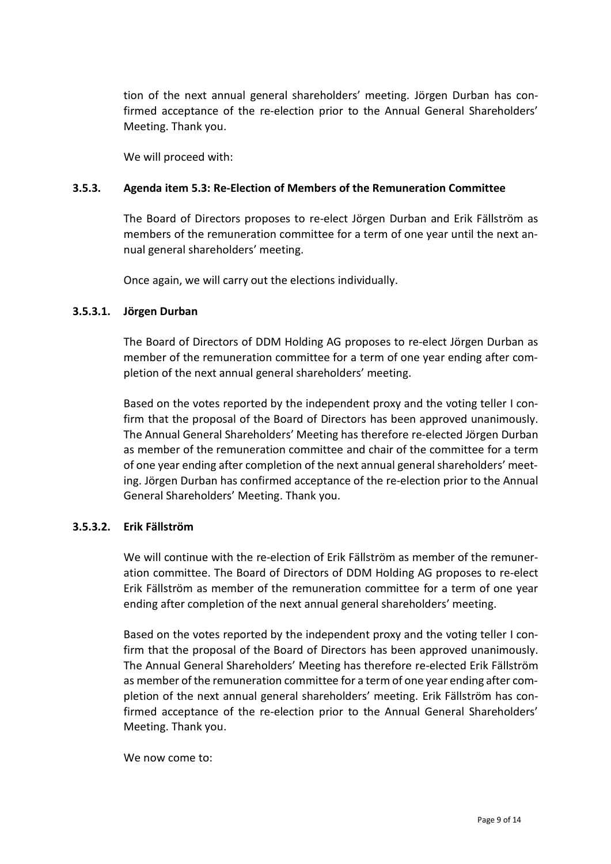tion of the next annual general shareholders' meeting. Jörgen Durban has confirmed acceptance of the re-election prior to the Annual General Shareholders' Meeting. Thank you.

We will proceed with:

#### **3.5.3. Agenda item 5.3: Re-Election of Members of the Remuneration Committee**

The Board of Directors proposes to re-elect Jörgen Durban and Erik Fällström as members of the remuneration committee for a term of one year until the next annual general shareholders' meeting.

Once again, we will carry out the elections individually.

#### **3.5.3.1. Jörgen Durban**

The Board of Directors of DDM Holding AG proposes to re-elect Jörgen Durban as member of the remuneration committee for a term of one year ending after completion of the next annual general shareholders' meeting.

Based on the votes reported by the independent proxy and the voting teller I confirm that the proposal of the Board of Directors has been approved unanimously. The Annual General Shareholders' Meeting has therefore re-elected Jörgen Durban as member of the remuneration committee and chair of the committee for a term of one year ending after completion of the next annual general shareholders' meeting. Jörgen Durban has confirmed acceptance of the re-election prior to the Annual General Shareholders' Meeting. Thank you.

#### **3.5.3.2. Erik Fällström**

We will continue with the re-election of Erik Fällström as member of the remuneration committee. The Board of Directors of DDM Holding AG proposes to re-elect Erik Fällström as member of the remuneration committee for a term of one year ending after completion of the next annual general shareholders' meeting.

Based on the votes reported by the independent proxy and the voting teller I confirm that the proposal of the Board of Directors has been approved unanimously. The Annual General Shareholders' Meeting has therefore re-elected Erik Fällström as member of the remuneration committee for a term of one year ending after completion of the next annual general shareholders' meeting. Erik Fällström has confirmed acceptance of the re-election prior to the Annual General Shareholders' Meeting. Thank you.

We now come to: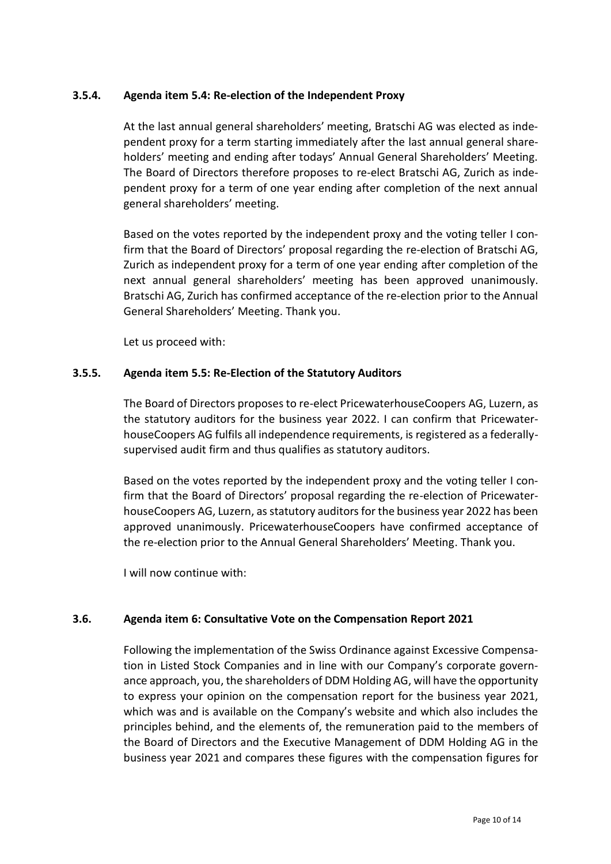#### **3.5.4. Agenda item 5.4: Re-election of the Independent Proxy**

At the last annual general shareholders' meeting, Bratschi AG was elected as independent proxy for a term starting immediately after the last annual general shareholders' meeting and ending after todays' Annual General Shareholders' Meeting. The Board of Directors therefore proposes to re-elect Bratschi AG, Zurich as independent proxy for a term of one year ending after completion of the next annual general shareholders' meeting.

Based on the votes reported by the independent proxy and the voting teller I confirm that the Board of Directors' proposal regarding the re-election of Bratschi AG, Zurich as independent proxy for a term of one year ending after completion of the next annual general shareholders' meeting has been approved unanimously. Bratschi AG, Zurich has confirmed acceptance of the re-election prior to the Annual General Shareholders' Meeting. Thank you.

Let us proceed with:

#### **3.5.5. Agenda item 5.5: Re-Election of the Statutory Auditors**

The Board of Directors proposes to re-elect PricewaterhouseCoopers AG, Luzern, as the statutory auditors for the business year 2022. I can confirm that PricewaterhouseCoopers AG fulfils all independence requirements, is registered as a federallysupervised audit firm and thus qualifies as statutory auditors.

Based on the votes reported by the independent proxy and the voting teller I confirm that the Board of Directors' proposal regarding the re-election of PricewaterhouseCoopers AG, Luzern, as statutory auditors for the business year 2022 has been approved unanimously. PricewaterhouseCoopers have confirmed acceptance of the re-election prior to the Annual General Shareholders' Meeting. Thank you.

I will now continue with:

#### **3.6. Agenda item 6: Consultative Vote on the Compensation Report 2021**

Following the implementation of the Swiss Ordinance against Excessive Compensation in Listed Stock Companies and in line with our Company's corporate governance approach, you, the shareholders of DDM Holding AG, will have the opportunity to express your opinion on the compensation report for the business year 2021, which was and is available on the Company's website and which also includes the principles behind, and the elements of, the remuneration paid to the members of the Board of Directors and the Executive Management of DDM Holding AG in the business year 2021 and compares these figures with the compensation figures for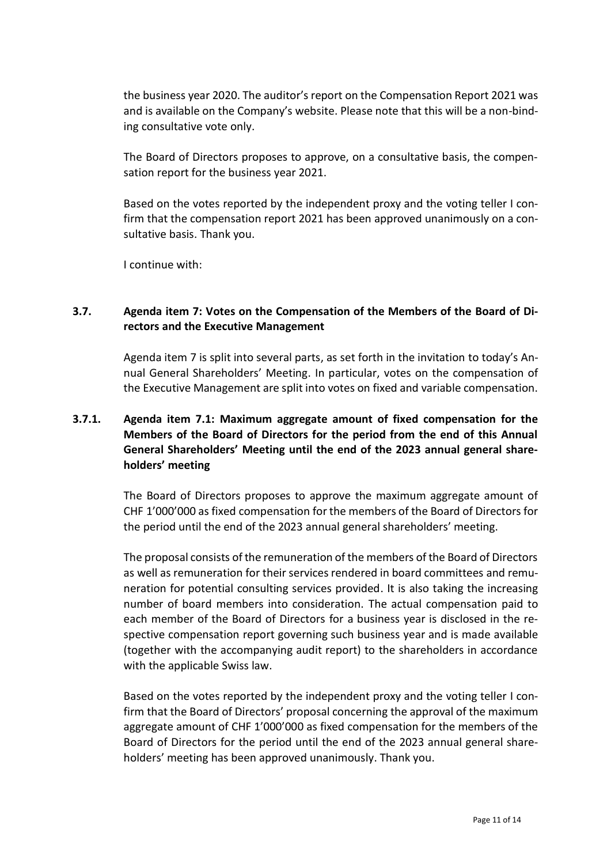the business year 2020. The auditor's report on the Compensation Report 2021 was and is available on the Company's website. Please note that this will be a non-binding consultative vote only.

The Board of Directors proposes to approve, on a consultative basis, the compensation report for the business year 2021.

Based on the votes reported by the independent proxy and the voting teller I confirm that the compensation report 2021 has been approved unanimously on a consultative basis. Thank you.

I continue with:

# **3.7. Agenda item 7: Votes on the Compensation of the Members of the Board of Directors and the Executive Management**

Agenda item 7 is split into several parts, as set forth in the invitation to today's Annual General Shareholders' Meeting. In particular, votes on the compensation of the Executive Management are split into votes on fixed and variable compensation.

# **3.7.1. Agenda item 7.1: Maximum aggregate amount of fixed compensation for the Members of the Board of Directors for the period from the end of this Annual General Shareholders' Meeting until the end of the 2023 annual general shareholders' meeting**

The Board of Directors proposes to approve the maximum aggregate amount of CHF 1'000'000 as fixed compensation for the members of the Board of Directors for the period until the end of the 2023 annual general shareholders' meeting.

The proposal consists of the remuneration of the members of the Board of Directors as well as remuneration for their services rendered in board committees and remuneration for potential consulting services provided. It is also taking the increasing number of board members into consideration. The actual compensation paid to each member of the Board of Directors for a business year is disclosed in the respective compensation report governing such business year and is made available (together with the accompanying audit report) to the shareholders in accordance with the applicable Swiss law.

Based on the votes reported by the independent proxy and the voting teller I confirm that the Board of Directors' proposal concerning the approval of the maximum aggregate amount of CHF 1'000'000 as fixed compensation for the members of the Board of Directors for the period until the end of the 2023 annual general shareholders' meeting has been approved unanimously. Thank you.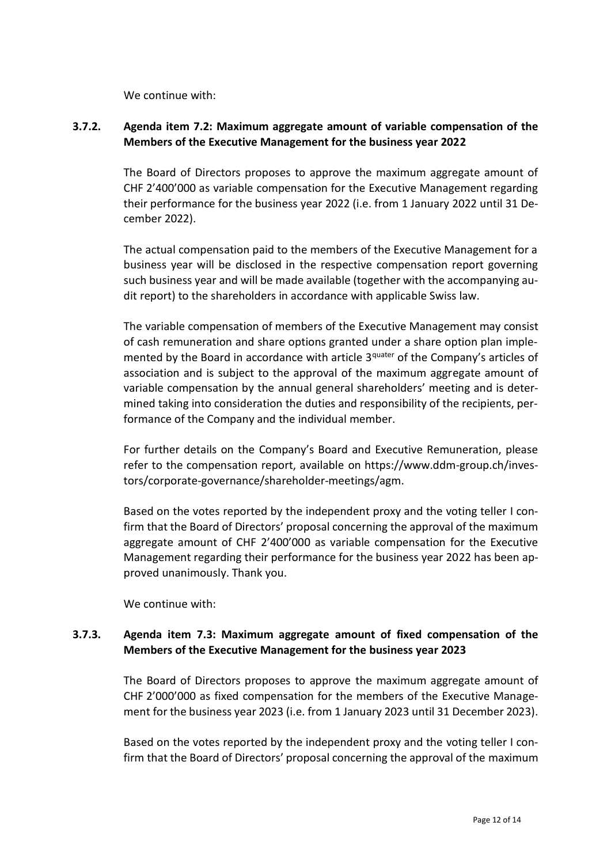We continue with:

# **3.7.2. Agenda item 7.2: Maximum aggregate amount of variable compensation of the Members of the Executive Management for the business year 2022**

The Board of Directors proposes to approve the maximum aggregate amount of CHF 2'400'000 as variable compensation for the Executive Management regarding their performance for the business year 2022 (i.e. from 1 January 2022 until 31 December 2022).

The actual compensation paid to the members of the Executive Management for a business year will be disclosed in the respective compensation report governing such business year and will be made available (together with the accompanying audit report) to the shareholders in accordance with applicable Swiss law.

The variable compensation of members of the Executive Management may consist of cash remuneration and share options granted under a share option plan implemented by the Board in accordance with article 3<sup>quater</sup> of the Company's articles of association and is subject to the approval of the maximum aggregate amount of variable compensation by the annual general shareholders' meeting and is determined taking into consideration the duties and responsibility of the recipients, performance of the Company and the individual member.

For further details on the Company's Board and Executive Remuneration, please refer to the compensation report, available on [https://www.ddm-group.ch/inves](https://www.ddm-group.ch/investors/corporate-governance/shareholder-meetings/agm)[tors/corporate-governance/shareholder-meetings/agm.](https://www.ddm-group.ch/investors/corporate-governance/shareholder-meetings/agm)

Based on the votes reported by the independent proxy and the voting teller I confirm that the Board of Directors' proposal concerning the approval of the maximum aggregate amount of CHF 2'400'000 as variable compensation for the Executive Management regarding their performance for the business year 2022 has been approved unanimously. Thank you.

We continue with:

# **3.7.3. Agenda item 7.3: Maximum aggregate amount of fixed compensation of the Members of the Executive Management for the business year 2023**

The Board of Directors proposes to approve the maximum aggregate amount of CHF 2'000'000 as fixed compensation for the members of the Executive Management for the business year 2023 (i.e. from 1 January 2023 until 31 December 2023).

Based on the votes reported by the independent proxy and the voting teller I confirm that the Board of Directors' proposal concerning the approval of the maximum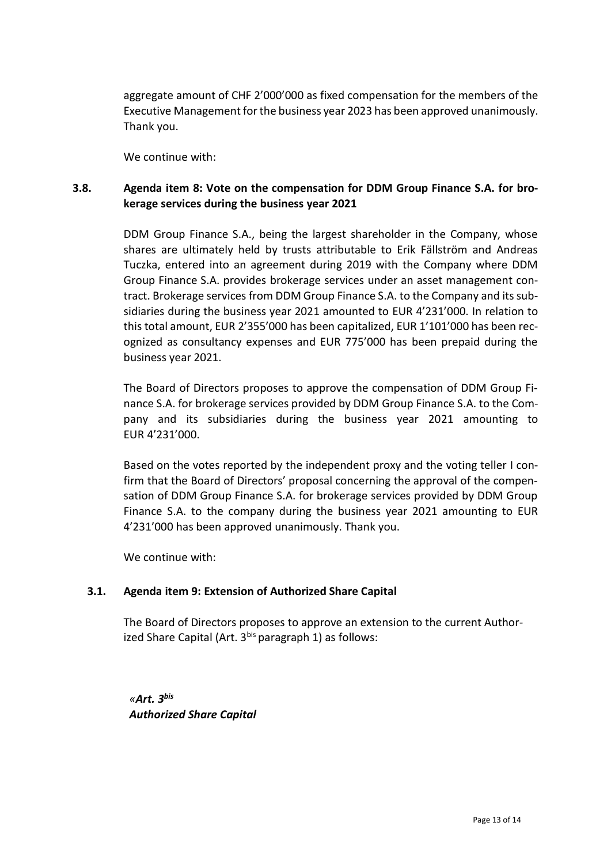aggregate amount of CHF 2'000'000 as fixed compensation for the members of the Executive Management for the business year 2023 has been approved unanimously. Thank you.

We continue with:

# **3.8. Agenda item 8: Vote on the compensation for DDM Group Finance S.A. for brokerage services during the business year 2021**

DDM Group Finance S.A., being the largest shareholder in the Company, whose shares are ultimately held by trusts attributable to Erik Fällström and Andreas Tuczka, entered into an agreement during 2019 with the Company where DDM Group Finance S.A. provides brokerage services under an asset management contract. Brokerage services from DDM Group Finance S.A. to the Company and its subsidiaries during the business year 2021 amounted to EUR 4'231'000. In relation to this total amount, EUR 2'355'000 has been capitalized, EUR 1'101'000 has been recognized as consultancy expenses and EUR 775'000 has been prepaid during the business year 2021.

The Board of Directors proposes to approve the compensation of DDM Group Finance S.A. for brokerage services provided by DDM Group Finance S.A. to the Company and its subsidiaries during the business year 2021 amounting to EUR 4'231'000.

Based on the votes reported by the independent proxy and the voting teller I confirm that the Board of Directors' proposal concerning the approval of the compensation of DDM Group Finance S.A. for brokerage services provided by DDM Group Finance S.A. to the company during the business year 2021 amounting to EUR 4'231'000 has been approved unanimously. Thank you.

We continue with:

# **3.1. Agenda item 9: Extension of Authorized Share Capital**

The Board of Directors proposes to approve an extension to the current Authorized Share Capital (Art. 3bis paragraph 1) as follows:

*«Art. 3bis Authorized Share Capital*